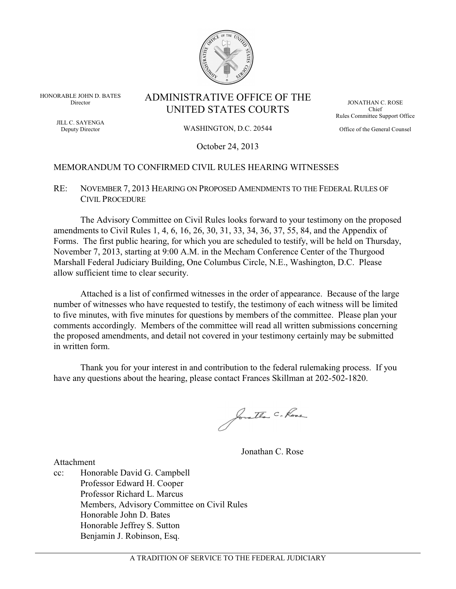

HONORABLE JOHN D. BATES Director ADMINISTRATIVE OFFICE OF THE UNITED STATES COURTS

JILL C. SAYENGA Deputy Director

#### WASHINGTON, D.C. 20544

JONATHAN C. ROSE Chief Rules Committee Support Office

Office of the General Counsel

October 24, 2013

### MEMORANDUM TO CONFIRMED CIVIL RULES HEARING WITNESSES

RE: NOVEMBER 7, 2013 HEARING ON PROPOSED AMENDMENTS TO THE FEDERAL RULES OF CIVIL PROCEDURE

The Advisory Committee on Civil Rules looks forward to your testimony on the proposed amendments to Civil Rules 1, 4, 6, 16, 26, 30, 31, 33, 34, 36, 37, 55, 84, and the Appendix of Forms. The first public hearing, for which you are scheduled to testify, will be held on Thursday, November 7, 2013, starting at 9:00 A.M. in the Mecham Conference Center of the Thurgood Marshall Federal Judiciary Building, One Columbus Circle, N.E., Washington, D.C. Please allow sufficient time to clear security.

Attached is a list of confirmed witnesses in the order of appearance. Because of the large number of witnesses who have requested to testify, the testimony of each witness will be limited to five minutes, with five minutes for questions by members of the committee. Please plan your comments accordingly. Members of the committee will read all written submissions concerning the proposed amendments, and detail not covered in your testimony certainly may be submitted in written form.

Thank you for your interest in and contribution to the federal rulemaking process. If you have any questions about the hearing, please contact Frances Skillman at 202-502-1820.

Jorathan C. Rose

Jonathan C. Rose

Attachment

cc: Honorable David G. Campbell Professor Edward H. Cooper Professor Richard L. Marcus Members, Advisory Committee on Civil Rules Honorable John D. Bates Honorable Jeffrey S. Sutton Benjamin J. Robinson, Esq.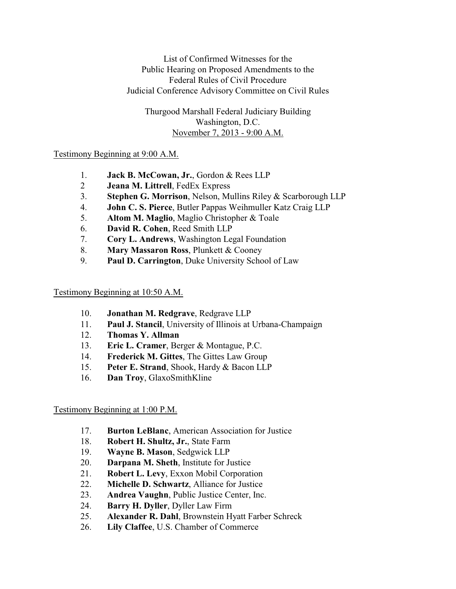List of Confirmed Witnesses for the Public Hearing on Proposed Amendments to the Federal Rules of Civil Procedure Judicial Conference Advisory Committee on Civil Rules

Thurgood Marshall Federal Judiciary Building Washington, D.C. November 7, 2013 - 9:00 A.M.

# Testimony Beginning at 9:00 A.M.

- 1. **Jack B. McCowan, Jr.**, Gordon & Rees LLP
- 2 **Jeana M. Littrell**, FedEx Express
- 3. **Stephen G. Morrison**, Nelson, Mullins Riley & Scarborough LLP
- 4. **John C. S. Pierce**, Butler Pappas Weihmuller Katz Craig LLP
- 5. **Altom M. Maglio**, Maglio Christopher & Toale
- 6. **David R. Cohen**, Reed Smith LLP
- 7. **Cory L. Andrews**, Washington Legal Foundation
- 8. **Mary Massaron Ross**, Plunkett & Cooney
- 9. **Paul D. Carrington**, Duke University School of Law

## Testimony Beginning at 10:50 A.M.

- 10. **Jonathan M. Redgrave**, Redgrave LLP
- 11. **Paul J. Stancil**, University of Illinois at Urbana-Champaign
- 12. **Thomas Y. Allman**
- 13. **Eric L. Cramer**, Berger & Montague, P.C.
- 14. **Frederick M. Gittes**, The Gittes Law Group
- 15. **Peter E. Strand**, Shook, Hardy & Bacon LLP
- 16. **Dan Troy**, GlaxoSmithKline

# Testimony Beginning at 1:00 P.M.

- 17. **Burton LeBlanc**, American Association for Justice
- 18. **Robert H. Shultz, Jr.**, State Farm
- 19. **Wayne B. Mason**, Sedgwick LLP
- 20. **Darpana M. Sheth**, Institute for Justice
- 21. **Robert L. Levy**, Exxon Mobil Corporation
- 22. **Michelle D. Schwartz**, Alliance for Justice
- 23. **Andrea Vaughn**, Public Justice Center, Inc.
- 24. **Barry H. Dyller**, Dyller Law Firm
- 25. **Alexander R. Dahl**, Brownstein Hyatt Farber Schreck
- 26. **Lily Claffee**, U.S. Chamber of Commerce